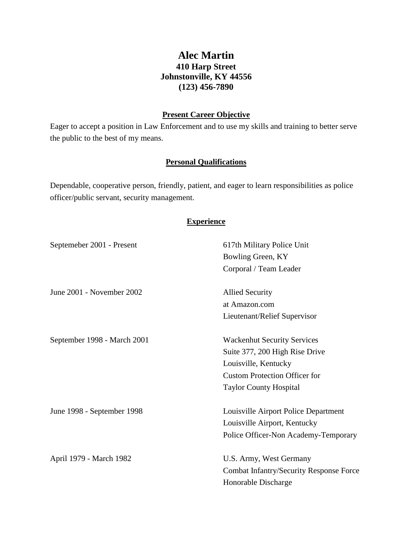# **Alec Martin 410 Harp Street Johnstonville, KY 44556 (123) 456-7890**

### **Present Career Objective**

Eager to accept a position in Law Enforcement and to use my skills and training to better serve the public to the best of my means.

## **Personal Qualifications**

Dependable, cooperative person, friendly, patient, and eager to learn responsibilities as police officer/public servant, security management.

## **Experience**

| Septemeber 2001 - Present   | 617th Military Police Unit                     |
|-----------------------------|------------------------------------------------|
|                             | Bowling Green, KY                              |
|                             | Corporal / Team Leader                         |
| June 2001 - November 2002   | <b>Allied Security</b>                         |
|                             | at Amazon.com                                  |
|                             | Lieutenant/Relief Supervisor                   |
| September 1998 - March 2001 | <b>Wackenhut Security Services</b>             |
|                             | Suite 377, 200 High Rise Drive                 |
|                             | Louisville, Kentucky                           |
|                             | <b>Custom Protection Officer for</b>           |
|                             | <b>Taylor County Hospital</b>                  |
| June 1998 - September 1998  | Louisville Airport Police Department           |
|                             | Louisville Airport, Kentucky                   |
|                             | Police Officer-Non Academy-Temporary           |
| April 1979 - March 1982     | U.S. Army, West Germany                        |
|                             | <b>Combat Infantry/Security Response Force</b> |
|                             | Honorable Discharge                            |